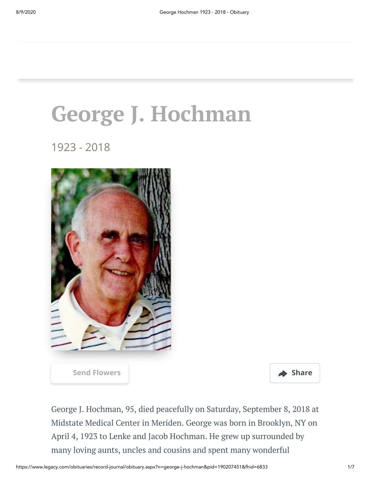# **George J. Hochman**

1923 - 2018



**[Send Flowers](https://sympathy.legacy.com/en-us/funeral-flowers/name/george-hochman-funeral-flowers/p190207451/?affiliateId=1504&pm=205) Share** 



George J. Hochman, 95, died peacefully on Saturday, September 8, 2018 at Midstate Medical Center in Meriden. George was born in Brooklyn, NY on April 4, 1923 to Lenke and Jacob Hochman. He grew up surrounded by many loving aunts, uncles and cousins and spent many wonderful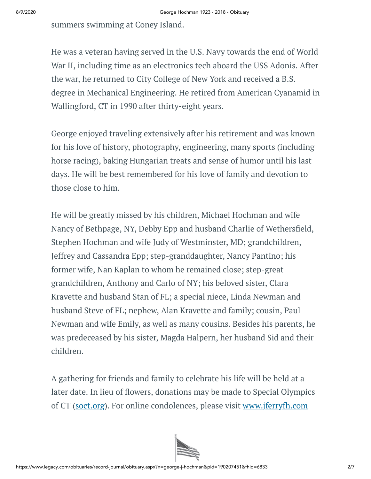summers swimming at Coney Island.

He was a veteran having served in the U.S. Navy towards the end of World War II, including time as an electronics tech aboard the USS Adonis. After the war, he returned to City College of New York and received a B.S. degree in Mechanical Engineering. He retired from American Cyanamid in Wallingford, CT in 1990 after thirty-eight years.

George enjoyed traveling extensively after his retirement and was known for his love of history, photography, engineering, many sports (including horse racing), baking Hungarian treats and sense of humor until his last days. He will be best remembered for his love of family and devotion to those close to him.

He will be greatly missed by his children, Michael Hochman and wife Nancy of Bethpage, NY, Debby Epp and husband Charlie of Wethersfield, Stephen Hochman and wife Judy of Westminster, MD; grandchildren, Jeffrey and Cassandra Epp; step-granddaughter, Nancy Pantino; his former wife, Nan Kaplan to whom he remained close; step-great grandchildren, Anthony and Carlo of NY; his beloved sister, Clara Kravette and husband Stan of FL; a special niece, Linda Newman and husband Steve of FL; nephew, Alan Kravette and family; cousin, Paul Newman and wife Emily, as well as many cousins. Besides his parents, he was predeceased by his sister, Magda Halpern, her husband Sid and their children.

A gathering for friends and family to celebrate his life will be held at a later date. In lieu of flowers, donations may be made to Special Olympics of CT [\(soct.org](http://soct.org/)). For online condolences, please visit [www.jferryfh.com](http://www.jferryfh.com/)

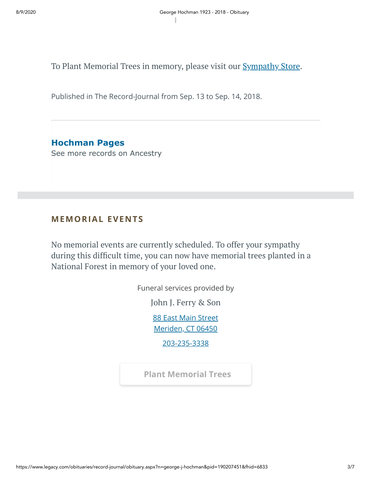To Plant Memorial Trees in memory, please visit our **[Sympathy](https://sympathy.legacy.com/en-us/funeral-flowers/name/george-hochman-funeral-flowers/p190207451/?affiliateId=1504&pm=240) Store**.

Published in The Record-Journal from Sep. 13 to Sep. 14, 2018.

**Hochman Pages** [See more records on Ancestry](https://adclick.g.doubleclick.net/pcs/click?xai=AKAOjsuZARaFZAm5VRv64FJXdVS-8KXKzcredCmeS9dgzgLcV_tN_d0-t264SwOV2fAIWpIrarfgV0P-0MNkuYvfVtXZI8sZB-y_68fgjHkMmCtiJNf387X4WaIm-SI2GwCFvztK82QUkDdSvZ7Pxn1vEZgGG0A5wn7OzhFMF1sJ1076TSxNuPuwFimp7_BYwBw0uJDWfFgfU6wua50RtnLUwSxDWq56J6UXUvK113j6H9JG1QFE6luiYydNATaFl4wlSJKISBK8d2p9Xx5N9RomaFjxnfcwJNlB5_usQUwOp8JNXT7uGfwauQ&sig=Cg0ArKJSzGhvZ5_vcZCSEAE&urlfix=1&adurl=https://prf.hn/click/camref:1101l3yjc/adref:77841/destination:https://www.ancestry.com/cs/partner-records%3FflowId%3DpartnersBirth%26gsfn%3DGeorge%26gsln%3DHochman)

### **MEMORIAL EVENTS**

No memorial events are currently scheduled. To offer your sympathy during this difficult time, you can now have memorial trees planted in a National Forest in memory of your loved one.

Funeral services provided by

John J. [Ferry](https://jferryfh.com/) & Son

[88 East Main Street](https://maps.google.com/?q=88%20East%20Main%20Street%20Meriden,%20CT%2006450) Meriden, CT 06450

[203-235-3338](tel:2032353338)

**[Plant Memorial Trees](https://sympathy.legacy.com/en-us/funeral-flowers/name/george-hochman-funeral-flowers/p190207451/?affiliateId=1504&pm=271)**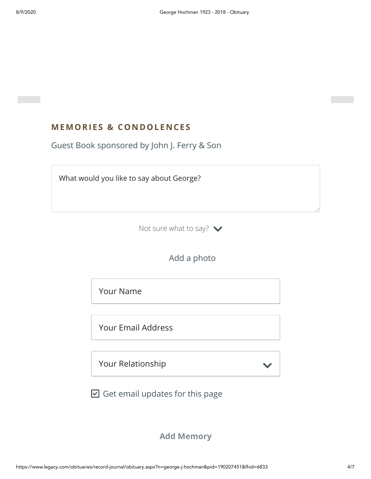# **MEMORIES & CO N DOLE N CES**

Guest Book sponsored by John J. Ferry & Son

What would you like to say about George?

Not sure what to say?  $\blacktriangleright$ 

Add a photo

Your Name

Your Email Address

Your Relationship

 $\boxdot$  Get email updates for this page

**Add Memory**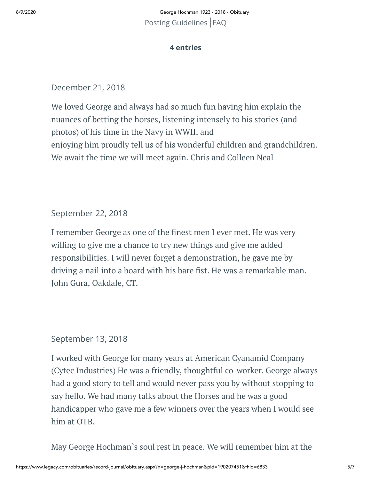8/9/2020 George Hochman 1923 - 2018 - Obituary [Posting Guidelines](https://www.legacy.com/guestbooks/posting-guidelines.aspx?n=George-Hochman&pid=190207451) | [FAQ](https://www.legacy.com/guestbooks/faq.aspx?n=George-Hochman&pid=190207451)

#### **4 entries**

December 21, 2018

We loved George and always had so much fun having him explain the nuances of betting the horses, listening intensely to his stories (and photos) of his time in the Navy in WWII, and enjoying him proudly tell us of his wonderful children and grandchildren. We await the time we will meet again. Chris and Colleen Neal

September 22, 2018

I remember George as one of the finest men I ever met. He was very willing to give me a chance to try new things and give me added responsibilities. I will never forget a demonstration, he gave me by driving a nail into a board with his bare fist. He was a remarkable man. John Gura, Oakdale, CT.

#### September 13, 2018

I worked with George for many years at American Cyanamid Company (Cytec Industries) He was a friendly, thoughtful co-worker. George always had a good story to tell and would never pass you by without stopping to say hello. We had many talks about the Horses and he was a good handicapper who gave me a few winners over the years when I would see him at OTB.

May George Hochman`s soul rest in peace. We will remember him at the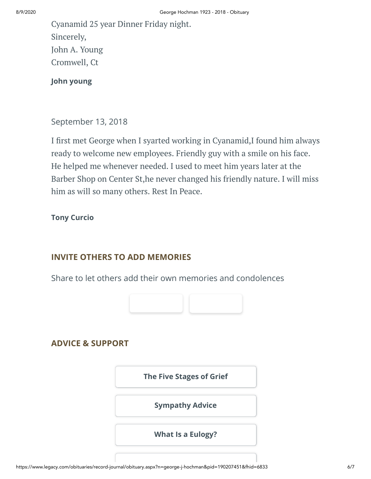Cyanamid 25 year Dinner Friday night. Sincerely, John A. Young Cromwell, Ct

**John young**

September 13, 2018

I first met George when I syarted working in Cyanamid, I found him always ready to welcome new employees. Friendly guy with a smile on his face. He helped me whenever needed. I used to meet him years later at the Barber Shop on Center St,he never changed his friendly nature. I will miss him as will so many others. Rest In Peace.

## **Tony Curcio**

## **INVITE OTHERS TO ADD MEMORIES**

Share to let others add their own memories and condolences



## **ADVICE & SUPPORT**

**[The Five Stages of Grief](https://www.legacy.com/news/advice-and-support/article/the-five-stages-of-grief) [Sympathy Advice](https://www.legacy.com/news/advice-and-support/article/sympathy-and-condolence-advice) [What Is a Eulogy?](https://www.legacy.com/news/advice-and-support/article/what-is-a-eulogy)**